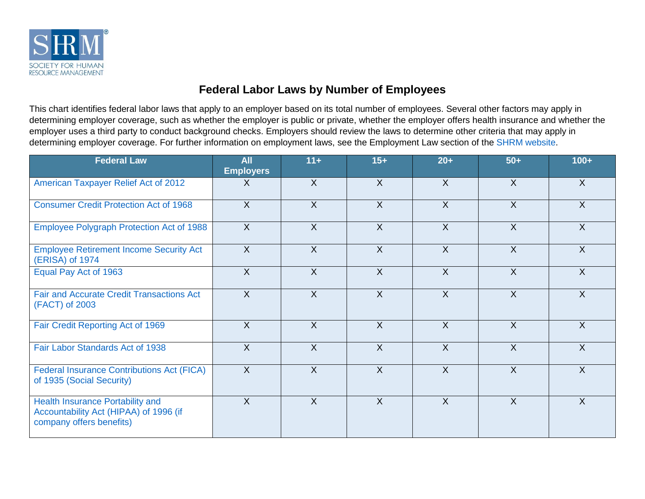

## **Federal Labor Laws by Number of Employees**

This chart identifies federal labor laws that apply to an employer based on its total number of employees. Several other factors may apply in determining employer coverage, such as whether the employer is public or private, whether the employer offers health insurance and whether the employer uses a third party to conduct background checks. Employers should review the laws to determine other criteria that may apply in determining employer coverage. For further information on employment laws, see the Employment Law section of the [SHRM website.](http://www.shrm.org/)

| <b>Federal Law</b>                                                                                            | <b>All</b><br><b>Employers</b> | $11+$          | $15+$          | $20+$          | $50+$          | $100+$         |
|---------------------------------------------------------------------------------------------------------------|--------------------------------|----------------|----------------|----------------|----------------|----------------|
| American Taxpayer Relief Act of 2012                                                                          | $\mathsf{X}$                   | $\sf X$        | $\sf X$        | $\mathsf{X}$   | $\sf X$        | $\sf X$        |
| <b>Consumer Credit Protection Act of 1968</b>                                                                 | $\sf X$                        | $\sf X$        | $\sf X$        | $\chi$         | $\sf X$        | $\sf X$        |
| Employee Polygraph Protection Act of 1988                                                                     | $\sf X$                        | $\overline{X}$ | $\overline{X}$ | $\overline{X}$ | $\overline{X}$ | $\overline{X}$ |
| <b>Employee Retirement Income Security Act</b><br>(ERISA) of 1974                                             | $\chi$                         | $\sf X$        | $\mathsf{X}$   | $\chi$         | $\overline{X}$ | $\sf X$        |
| Equal Pay Act of 1963                                                                                         | X                              | $\sf X$        | $\overline{X}$ | X              | $\overline{X}$ | $\sf X$        |
| <b>Fair and Accurate Credit Transactions Act</b><br>(FACT) of 2003                                            | $\sf X$                        | $\sf X$        | $\sf X$        | $\chi$         | $\mathsf{X}$   | $\sf X$        |
| Fair Credit Reporting Act of 1969                                                                             | $\chi$                         | $\sf X$        | $\sf X$        | $\overline{X}$ | $\overline{X}$ | $\sf X$        |
| Fair Labor Standards Act of 1938                                                                              | X                              | $\sf X$        | $\overline{X}$ | $\overline{X}$ | $\mathsf{X}$   | $\sf X$        |
| <b>Federal Insurance Contributions Act (FICA)</b><br>of 1935 (Social Security)                                | $\sf X$                        | $\sf X$        | $\sf X$        | $\sf X$        | $\sf X$        | $\sf X$        |
| <b>Health Insurance Portability and</b><br>Accountability Act (HIPAA) of 1996 (if<br>company offers benefits) | $\chi$                         | $\sf X$        | $\sf X$        | $\sf X$        | $\overline{X}$ | $\sf X$        |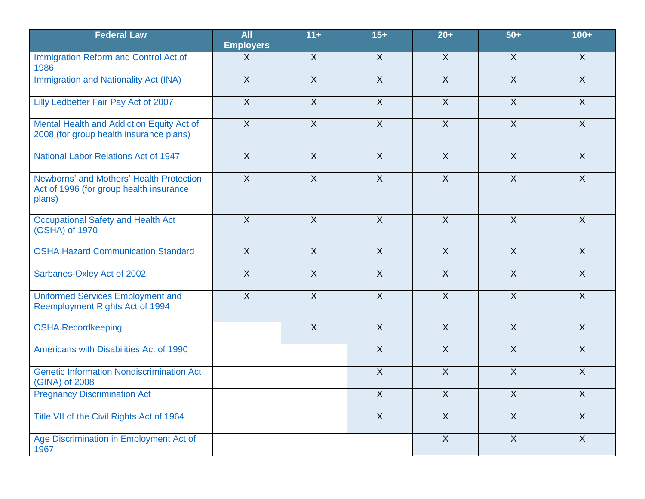| <b>Federal Law</b>                                                                            | <b>All</b><br><b>Employers</b> | $11+$          | $15+$          | $20+$          | $50+$          | $100+$         |
|-----------------------------------------------------------------------------------------------|--------------------------------|----------------|----------------|----------------|----------------|----------------|
| Immigration Reform and Control Act of<br>1986                                                 | $\sf X$                        | $\overline{X}$ | $\overline{X}$ | $\overline{X}$ | $\overline{X}$ | $\overline{X}$ |
| Immigration and Nationality Act (INA)                                                         | $\overline{X}$                 | $\overline{X}$ | $\overline{X}$ | $\overline{X}$ | $\overline{X}$ | $\overline{X}$ |
| Lilly Ledbetter Fair Pay Act of 2007                                                          | $\overline{X}$                 | $\overline{X}$ | $\overline{X}$ | $\overline{X}$ | $\overline{X}$ | $\overline{X}$ |
| Mental Health and Addiction Equity Act of<br>2008 (for group health insurance plans)          | $\overline{X}$                 | $\overline{X}$ | $\overline{X}$ | $\overline{X}$ | $\overline{X}$ | $\overline{X}$ |
| National Labor Relations Act of 1947                                                          | $\overline{X}$                 | $\overline{X}$ | $\overline{X}$ | $\sf X$        | $\overline{X}$ | $\overline{X}$ |
| Newborns' and Mothers' Health Protection<br>Act of 1996 (for group health insurance<br>plans) | $\overline{X}$                 | $\overline{X}$ | $\overline{X}$ | $\overline{X}$ | $\overline{X}$ | $\overline{X}$ |
| <b>Occupational Safety and Health Act</b><br>(OSHA) of 1970                                   | $\mathsf{X}$                   | $\mathsf{X}$   | $\overline{X}$ | $\sf X$        | $\mathsf{X}$   | $\mathsf{X}$   |
| <b>OSHA Hazard Communication Standard</b>                                                     | $\overline{X}$                 | $\overline{X}$ | $\overline{X}$ | $\overline{X}$ | $\overline{X}$ | $\overline{X}$ |
| Sarbanes-Oxley Act of 2002                                                                    | $\overline{X}$                 | $\overline{X}$ | $\overline{X}$ | $\overline{X}$ | $\overline{X}$ | $\overline{X}$ |
| <b>Uniformed Services Employment and</b><br>Reemployment Rights Act of 1994                   | $\overline{X}$                 | $\overline{X}$ | $\overline{X}$ | $\overline{X}$ | $\overline{X}$ | $\overline{X}$ |
| <b>OSHA Recordkeeping</b>                                                                     |                                | $\overline{X}$ | $\overline{X}$ | $\overline{X}$ | $\overline{X}$ | $\overline{X}$ |
| Americans with Disabilities Act of 1990                                                       |                                |                | $\overline{X}$ | $\overline{X}$ | $\overline{X}$ | $\overline{X}$ |
| <b>Genetic Information Nondiscrimination Act</b><br>(GINA) of 2008                            |                                |                | $\overline{X}$ | $\overline{X}$ | $\overline{X}$ | $\overline{X}$ |
| <b>Pregnancy Discrimination Act</b>                                                           |                                |                | $\overline{X}$ | $\overline{X}$ | $\overline{X}$ | $\overline{X}$ |
| Title VII of the Civil Rights Act of 1964                                                     |                                |                | $\mathsf{X}$   | X              | $\mathsf{X}$   | $\mathsf{X}$   |
| Age Discrimination in Employment Act of<br>1967                                               |                                |                |                | $\overline{X}$ | $\overline{X}$ | $\overline{X}$ |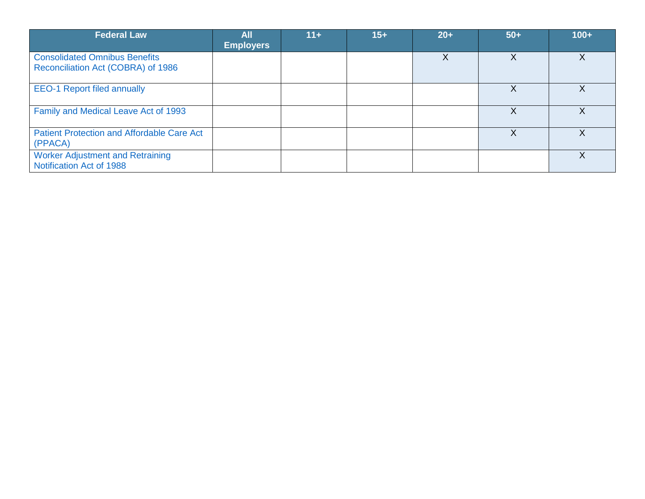| <b>Federal Law</b>                                                         | All<br><b>Employers</b> | $11 +$ | $15+$ | $20+$ | $50+$ | $100+$ |
|----------------------------------------------------------------------------|-------------------------|--------|-------|-------|-------|--------|
| <b>Consolidated Omnibus Benefits</b><br>Reconciliation Act (COBRA) of 1986 |                         |        |       |       | X     | Χ      |
| <b>EEO-1 Report filed annually</b>                                         |                         |        |       |       | X     | X      |
| Family and Medical Leave Act of 1993                                       |                         |        |       |       |       |        |
| <b>Patient Protection and Affordable Care Act</b><br>(PPACA)               |                         |        |       |       | Χ     | Χ      |
| <b>Worker Adjustment and Retraining</b><br>Notification Act of 1988        |                         |        |       |       |       |        |